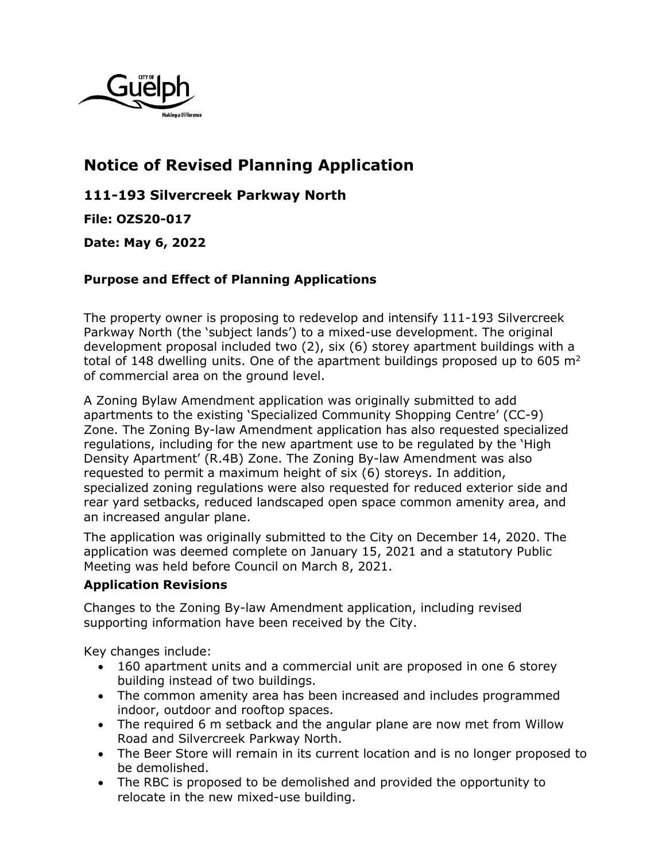

## **Notice of Revised Planning Application**

**111-193 Silvercreek Parkway North**

**File: OZS20-017**

**Date: May 6, 2022**

## **Purpose and Effect of Planning Applications**

The property owner is proposing to redevelop and intensify 111-193 Silvercreek Parkway North (the 'subject lands') to a mixed-use development. The original development proposal included two (2), six (6) storey apartment buildings with a total of 148 dwelling units. One of the apartment buildings proposed up to 605  $m^2$ of commercial area on the ground level.

A Zoning Bylaw Amendment application was originally submitted to add apartments to the existing 'Specialized Community Shopping Centre' (CC-9) Zone. The Zoning By-law Amendment application has also requested specialized regulations, including for the new apartment use to be regulated by the 'High Density Apartment' (R.4B) Zone. The Zoning By-law Amendment was also requested to permit a maximum height of six (6) storeys. In addition, specialized zoning regulations were also requested for reduced exterior side and rear yard setbacks, reduced landscaped open space common amenity area, and an increased angular plane.

The application was originally submitted to the City on December 14, 2020. The application was deemed complete on January 15, 2021 and a statutory Public Meeting was held before Council on March 8, 2021.

## **Application Revisions**

Changes to the Zoning By-law Amendment application, including revised supporting information have been received by the City.

Key changes include:

- 160 apartment units and a commercial unit are proposed in one 6 storey building instead of two buildings.
- The common amenity area has been increased and includes programmed indoor, outdoor and rooftop spaces.
- The required 6 m setback and the angular plane are now met from Willow Road and Silvercreek Parkway North.
- The Beer Store will remain in its current location and is no longer proposed to be demolished.
- The RBC is proposed to be demolished and provided the opportunity to relocate in the new mixed-use building.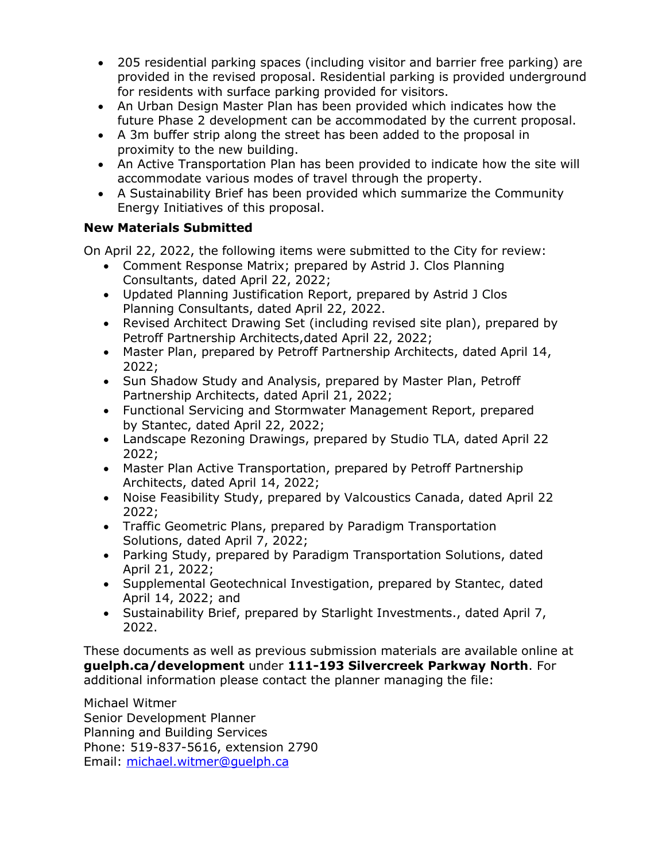- 205 residential parking spaces (including visitor and barrier free parking) are provided in the revised proposal. Residential parking is provided underground for residents with surface parking provided for visitors.
- An Urban Design Master Plan has been provided which indicates how the future Phase 2 development can be accommodated by the current proposal.
- A 3m buffer strip along the street has been added to the proposal in proximity to the new building.
- An Active Transportation Plan has been provided to indicate how the site will accommodate various modes of travel through the property.
- A Sustainability Brief has been provided which summarize the Community Energy Initiatives of this proposal.

## **New Materials Submitted**

On April 22, 2022, the following items were submitted to the City for review:

- Comment Response Matrix; prepared by Astrid J. Clos Planning Consultants, dated April 22, 2022;
- Updated Planning Justification Report, prepared by Astrid J Clos Planning Consultants, dated April 22, 2022.
- Revised Architect Drawing Set (including revised site plan), prepared by Petroff Partnership Architects,dated April 22, 2022;
- Master Plan, prepared by Petroff Partnership Architects, dated April 14, 2022;
- Sun Shadow Study and Analysis, prepared by Master Plan, Petroff Partnership Architects, dated April 21, 2022;
- Functional Servicing and Stormwater Management Report, prepared by Stantec, dated April 22, 2022;
- Landscape Rezoning Drawings, prepared by Studio TLA, dated April 22 2022;
- Master Plan Active Transportation, prepared by Petroff Partnership Architects, dated April 14, 2022;
- Noise Feasibility Study, prepared by Valcoustics Canada, dated April 22 2022;
- Traffic Geometric Plans, prepared by Paradigm Transportation Solutions, dated April 7, 2022;
- Parking Study, prepared by Paradigm Transportation Solutions, dated April 21, 2022;
- Supplemental Geotechnical Investigation, prepared by Stantec, dated April 14, 2022; and
- Sustainability Brief, prepared by Starlight Investments., dated April 7, 2022.

These documents as well as previous submission materials are available online at **guelph.ca/development** under **111-193 Silvercreek Parkway North**. For additional information please contact the planner managing the file:

Michael Witmer Senior Development Planner Planning and Building Services Phone: 519-837-5616, extension 2790 Email: [michael.witmer@guelph.ca](mailto:michael.witmer@guelph.ca)